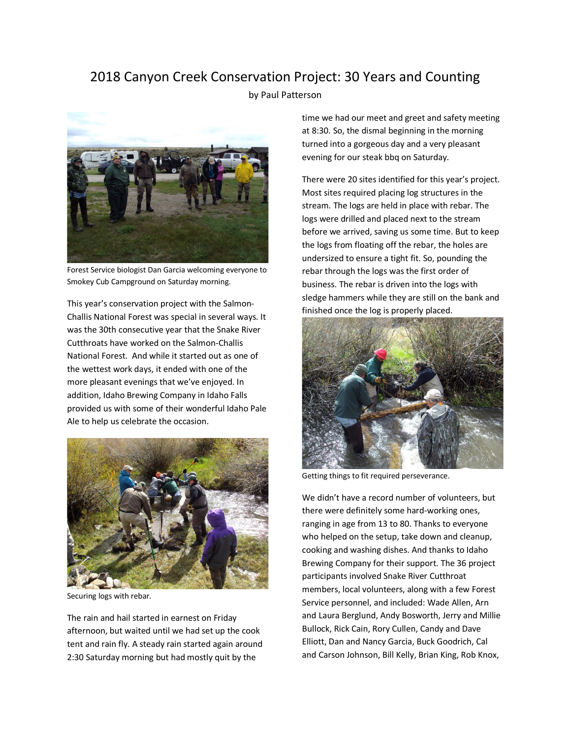## 2018 Canyon Creek Conservation Project: 30 Years and Counting

by Paul Patterson



Forest Service biologist Dan Garcia welcoming everyone to Smokey Cub Campground on Saturday morning.

This year's conservation project with the Salmon-Challis National Forest was special in several ways. It was the 30th consecutive year that the Snake River Cutthroats have worked on the Salmon-Challis National Forest. And while it started out as one of the wettest work days, it ended with one of the more pleasant evenings that we've enjoyed. In addition, Idaho Brewing Company in Idaho Falls provided us with some of their wonderful Idaho Pale Ale to help us celebrate the occasion.



Securing logs with rebar.

The rain and hail started in earnest on Friday afternoon, but waited until we had set up the cook tent and rain fly. A steady rain started again around 2:30 Saturday morning but had mostly quit by the

time we had our meet and greet and safety meeting at 8:30. So, the dismal beginning in the morning turned into a gorgeous day and a very pleasant evening for our steak bbq on Saturday.

There were 20 sites identified for this year's project. Most sites required placing log structures in the stream. The logs are held in place with rebar. The logs were drilled and placed next to the stream before we arrived, saving us some time. But to keep the logs from floating off the rebar, the holes are undersized to ensure a tight fit. So, pounding the rebar through the logs was the first order of business. The rebar is driven into the logs with sledge hammers while they are still on the bank and finished once the log is properly placed.



Getting things to fit required perseverance.

We didn't have a record number of volunteers, but there were definitely some hard-working ones, ranging in age from 13 to 80. Thanks to everyone who helped on the setup, take down and cleanup, cooking and washing dishes. And thanks to Idaho Brewing Company for their support. The 36 project participants involved Snake River Cutthroat members, local volunteers, along with a few Forest Service personnel, and included: Wade Allen, Arn and Laura Berglund, Andy Bosworth, Jerry and Millie Bullock, Rick Cain, Rory Cullen, Candy and Dave Elliott, Dan and Nancy Garcia, Buck Goodrich, Cal and Carson Johnson, Bill Kelly, Brian King, Rob Knox,